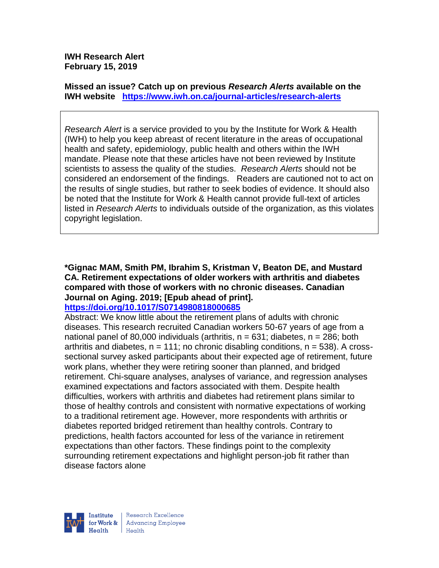**IWH Research Alert February 15, 2019**

**Missed an issue? Catch up on previous** *Research Alerts* **available on the [IWH website](http://www.iwh.on.ca/research-alerts) <https://www.iwh.on.ca/journal-articles/research-alerts>**

*Research Alert* is a service provided to you by the Institute for Work & Health (IWH) to help you keep abreast of recent literature in the areas of occupational health and safety, epidemiology, public health and others within the IWH mandate. Please note that these articles have not been reviewed by Institute scientists to assess the quality of the studies. *Research Alerts* should not be considered an endorsement of the findings. Readers are cautioned not to act on the results of single studies, but rather to seek bodies of evidence. It should also be noted that the Institute for Work & Health cannot provide full-text of articles listed in *Research Alerts* to individuals outside of the organization, as this violates copyright legislation.

**\*Gignac MAM, Smith PM, Ibrahim S, Kristman V, Beaton DE, and Mustard CA. Retirement expectations of older workers with arthritis and diabetes compared with those of workers with no chronic diseases. Canadian Journal on Aging. 2019; [Epub ahead of print].**

**<https://doi.org/10.1017/S0714980818000685>** 

Abstract: We know little about the retirement plans of adults with chronic diseases. This research recruited Canadian workers 50-67 years of age from a national panel of 80,000 individuals (arthritis,  $n = 631$ ; diabetes,  $n = 286$ ; both arthritis and diabetes,  $n = 111$ ; no chronic disabling conditions,  $n = 538$ ). A crosssectional survey asked participants about their expected age of retirement, future work plans, whether they were retiring sooner than planned, and bridged retirement. Chi-square analyses, analyses of variance, and regression analyses examined expectations and factors associated with them. Despite health difficulties, workers with arthritis and diabetes had retirement plans similar to those of healthy controls and consistent with normative expectations of working to a traditional retirement age. However, more respondents with arthritis or diabetes reported bridged retirement than healthy controls. Contrary to predictions, health factors accounted for less of the variance in retirement expectations than other factors. These findings point to the complexity surrounding retirement expectations and highlight person-job fit rather than disease factors alone

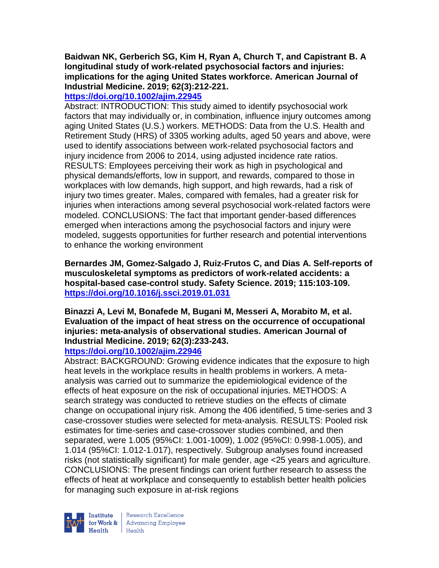## **Baidwan NK, Gerberich SG, Kim H, Ryan A, Church T, and Capistrant B. A longitudinal study of work-related psychosocial factors and injuries: implications for the aging United States workforce. American Journal of Industrial Medicine. 2019; 62(3):212-221.**

## **<https://doi.org/10.1002/ajim.22945>**

Abstract: INTRODUCTION: This study aimed to identify psychosocial work factors that may individually or, in combination, influence injury outcomes among aging United States (U.S.) workers. METHODS: Data from the U.S. Health and Retirement Study (HRS) of 3305 working adults, aged 50 years and above, were used to identify associations between work-related psychosocial factors and injury incidence from 2006 to 2014, using adjusted incidence rate ratios. RESULTS: Employees perceiving their work as high in psychological and physical demands/efforts, low in support, and rewards, compared to those in workplaces with low demands, high support, and high rewards, had a risk of injury two times greater. Males, compared with females, had a greater risk for injuries when interactions among several psychosocial work-related factors were modeled. CONCLUSIONS: The fact that important gender-based differences emerged when interactions among the psychosocial factors and injury were modeled, suggests opportunities for further research and potential interventions to enhance the working environment

**Bernardes JM, Gomez-Salgado J, Ruiz-Frutos C, and Dias A. Self-reports of musculoskeletal symptoms as predictors of work-related accidents: a hospital-based case-control study. Safety Science. 2019; 115:103-109. <https://doi.org/10.1016/j.ssci.2019.01.031>** 

## **Binazzi A, Levi M, Bonafede M, Bugani M, Messeri A, Morabito M, et al. Evaluation of the impact of heat stress on the occurrence of occupational injuries: meta-analysis of observational studies. American Journal of Industrial Medicine. 2019; 62(3):233-243.**

# **<https://doi.org/10.1002/ajim.22946>**

Abstract: BACKGROUND: Growing evidence indicates that the exposure to high heat levels in the workplace results in health problems in workers. A metaanalysis was carried out to summarize the epidemiological evidence of the effects of heat exposure on the risk of occupational injuries. METHODS: A search strategy was conducted to retrieve studies on the effects of climate change on occupational injury risk. Among the 406 identified, 5 time-series and 3 case-crossover studies were selected for meta-analysis. RESULTS: Pooled risk estimates for time-series and case-crossover studies combined, and then separated, were 1.005 (95%CI: 1.001-1009), 1.002 (95%CI: 0.998-1.005), and 1.014 (95%CI: 1.012-1.017), respectively. Subgroup analyses found increased risks (not statistically significant) for male gender, age <25 years and agriculture. CONCLUSIONS: The present findings can orient further research to assess the effects of heat at workplace and consequently to establish better health policies for managing such exposure in at-risk regions



Research Excellence  $Heath$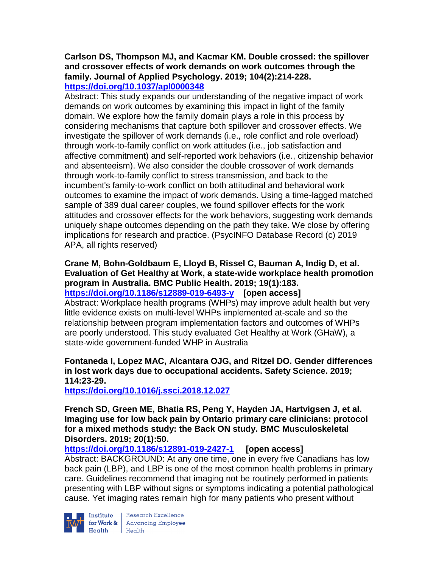### **Carlson DS, Thompson MJ, and Kacmar KM. Double crossed: the spillover and crossover effects of work demands on work outcomes through the family. Journal of Applied Psychology. 2019; 104(2):214-228. <https://doi.org/10.1037/apl0000348>**

Abstract: This study expands our understanding of the negative impact of work demands on work outcomes by examining this impact in light of the family domain. We explore how the family domain plays a role in this process by considering mechanisms that capture both spillover and crossover effects. We investigate the spillover of work demands (i.e., role conflict and role overload) through work-to-family conflict on work attitudes (i.e., job satisfaction and affective commitment) and self-reported work behaviors (i.e., citizenship behavior and absenteeism). We also consider the double crossover of work demands through work-to-family conflict to stress transmission, and back to the incumbent's family-to-work conflict on both attitudinal and behavioral work outcomes to examine the impact of work demands. Using a time-lagged matched sample of 389 dual career couples, we found spillover effects for the work attitudes and crossover effects for the work behaviors, suggesting work demands uniquely shape outcomes depending on the path they take. We close by offering implications for research and practice. (PsycINFO Database Record (c) 2019 APA, all rights reserved)

### **Crane M, Bohn-Goldbaum E, Lloyd B, Rissel C, Bauman A, Indig D, et al. Evaluation of Get Healthy at Work, a state-wide workplace health promotion program in Australia. BMC Public Health. 2019; 19(1):183. <https://doi.org/10.1186/s12889-019-6493-y> [open access]** Abstract: Workplace health programs (WHPs) may improve adult health but very little evidence exists on multi-level WHPs implemented at-scale and so the relationship between program implementation factors and outcomes of WHPs are poorly understood. This study evaluated Get Healthy at Work (GHaW), a

state-wide government-funded WHP in Australia

# **Fontaneda I, Lopez MAC, Alcantara OJG, and Ritzel DO. Gender differences in lost work days due to occupational accidents. Safety Science. 2019; 114:23-29.**

**<https://doi.org/10.1016/j.ssci.2018.12.027>** 

**French SD, Green ME, Bhatia RS, Peng Y, Hayden JA, Hartvigsen J, et al. Imaging use for low back pain by Ontario primary care clinicians: protocol for a mixed methods study: the Back ON study. BMC Musculoskeletal Disorders. 2019; 20(1):50.**

**<https://doi.org/10.1186/s12891-019-2427-1> [open access]**

Abstract: BACKGROUND: At any one time, one in every five Canadians has low back pain (LBP), and LBP is one of the most common health problems in primary care. Guidelines recommend that imaging not be routinely performed in patients presenting with LBP without signs or symptoms indicating a potential pathological cause. Yet imaging rates remain high for many patients who present without



Institute Research Excellence<br>for Work & Advancing Employee<br>Health Health  $H$ ealth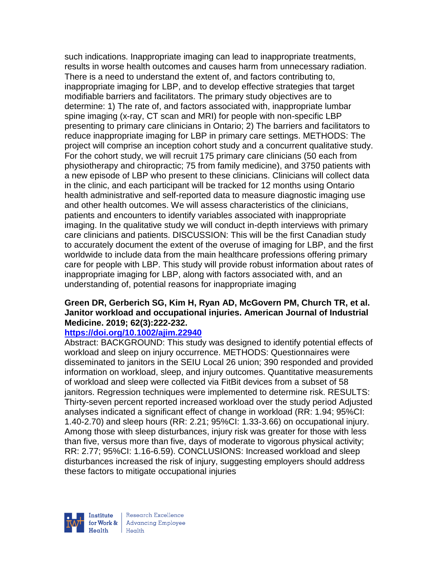such indications. Inappropriate imaging can lead to inappropriate treatments, results in worse health outcomes and causes harm from unnecessary radiation. There is a need to understand the extent of, and factors contributing to, inappropriate imaging for LBP, and to develop effective strategies that target modifiable barriers and facilitators. The primary study objectives are to determine: 1) The rate of, and factors associated with, inappropriate lumbar spine imaging (x-ray, CT scan and MRI) for people with non-specific LBP presenting to primary care clinicians in Ontario; 2) The barriers and facilitators to reduce inappropriate imaging for LBP in primary care settings. METHODS: The project will comprise an inception cohort study and a concurrent qualitative study. For the cohort study, we will recruit 175 primary care clinicians (50 each from physiotherapy and chiropractic; 75 from family medicine), and 3750 patients with a new episode of LBP who present to these clinicians. Clinicians will collect data in the clinic, and each participant will be tracked for 12 months using Ontario health administrative and self-reported data to measure diagnostic imaging use and other health outcomes. We will assess characteristics of the clinicians, patients and encounters to identify variables associated with inappropriate imaging. In the qualitative study we will conduct in-depth interviews with primary care clinicians and patients. DISCUSSION: This will be the first Canadian study to accurately document the extent of the overuse of imaging for LBP, and the first worldwide to include data from the main healthcare professions offering primary care for people with LBP. This study will provide robust information about rates of inappropriate imaging for LBP, along with factors associated with, and an understanding of, potential reasons for inappropriate imaging

## **Green DR, Gerberich SG, Kim H, Ryan AD, McGovern PM, Church TR, et al. Janitor workload and occupational injuries. American Journal of Industrial Medicine. 2019; 62(3):222-232.**

### **<https://doi.org/10.1002/ajim.22940>**

Abstract: BACKGROUND: This study was designed to identify potential effects of workload and sleep on injury occurrence. METHODS: Questionnaires were disseminated to janitors in the SEIU Local 26 union; 390 responded and provided information on workload, sleep, and injury outcomes. Quantitative measurements of workload and sleep were collected via FitBit devices from a subset of 58 janitors. Regression techniques were implemented to determine risk. RESULTS: Thirty-seven percent reported increased workload over the study period Adjusted analyses indicated a significant effect of change in workload (RR: 1.94; 95%CI: 1.40-2.70) and sleep hours (RR: 2.21; 95%CI: 1.33-3.66) on occupational injury. Among those with sleep disturbances, injury risk was greater for those with less than five, versus more than five, days of moderate to vigorous physical activity; RR: 2.77; 95%CI: 1.16-6.59). CONCLUSIONS: Increased workload and sleep disturbances increased the risk of injury, suggesting employers should address these factors to mitigate occupational injuries

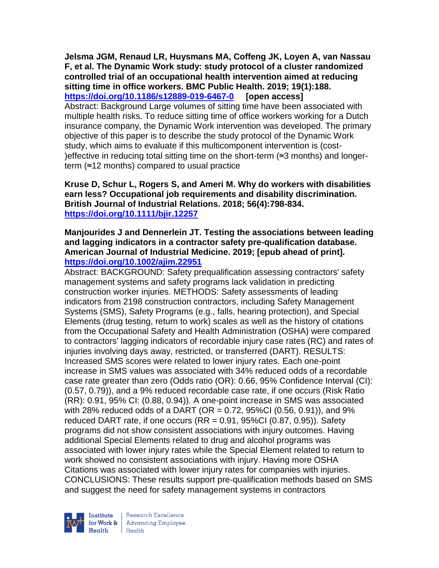**Jelsma JGM, Renaud LR, Huysmans MA, Coffeng JK, Loyen A, van Nassau F, et al. The Dynamic Work study: study protocol of a cluster randomized controlled trial of an occupational health intervention aimed at reducing sitting time in office workers. BMC Public Health. 2019; 19(1):188. <https://doi.org/10.1186/s12889-019-6467-0> [open access]** Abstract: Background Large volumes of sitting time have been associated with multiple health risks. To reduce sitting time of office workers working for a Dutch insurance company, the Dynamic Work intervention was developed. The primary objective of this paper is to describe the study protocol of the Dynamic Work study, which aims to evaluate if this multicomponent intervention is (cost- )effective in reducing total sitting time on the short-term (≈3 months) and longerterm (≈12 months) compared to usual practice

**Kruse D, Schur L, Rogers S, and Ameri M. Why do workers with disabilities earn less? Occupational job requirements and disability discrimination. British Journal of Industrial Relations. 2018; 56(4):798-834. <https://doi.org/10.1111/bjir.12257>** 

### **Manjourides J and Dennerlein JT. Testing the associations between leading and lagging indicators in a contractor safety pre-qualification database. American Journal of Industrial Medicine. 2019; [epub ahead of print]. <https://doi.org/10.1002/ajim.22951>**

Abstract: BACKGROUND: Safety prequalification assessing contractors' safety management systems and safety programs lack validation in predicting construction worker injuries. METHODS: Safety assessments of leading indicators from 2198 construction contractors, including Safety Management Systems (SMS), Safety Programs (e.g., falls, hearing protection), and Special Elements (drug testing, return to work) scales as well as the history of citations from the Occupational Safety and Health Administration (OSHA) were compared to contractors' lagging indicators of recordable injury case rates (RC) and rates of injuries involving days away, restricted, or transferred (DART). RESULTS: Increased SMS scores were related to lower injury rates. Each one-point increase in SMS values was associated with 34% reduced odds of a recordable case rate greater than zero (Odds ratio (OR): 0.66, 95% Confidence Interval (CI): (0.57, 0.79)), and a 9% reduced recordable case rate, if one occurs (Risk Ratio (RR): 0.91, 95% CI: (0.88, 0.94)). A one-point increase in SMS was associated with 28% reduced odds of a DART (OR = 0.72, 95%CI (0.56, 0.91)), and 9% reduced DART rate, if one occurs  $(RR = 0.91, 95\% CI (0.87, 0.95))$ . Safety programs did not show consistent associations with injury outcomes. Having additional Special Elements related to drug and alcohol programs was associated with lower injury rates while the Special Element related to return to work showed no consistent associations with injury. Having more OSHA Citations was associated with lower injury rates for companies with injuries. CONCLUSIONS: These results support pre-qualification methods based on SMS and suggest the need for safety management systems in contractors

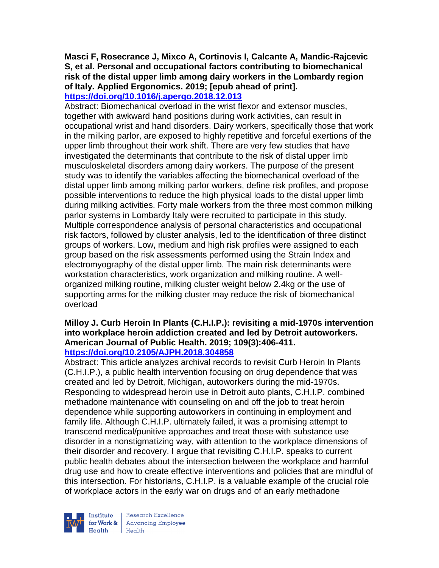#### **Masci F, Rosecrance J, Mixco A, Cortinovis I, Calcante A, Mandic-Rajcevic S, et al. Personal and occupational factors contributing to biomechanical risk of the distal upper limb among dairy workers in the Lombardy region of Italy. Applied Ergonomics. 2019; [epub ahead of print]. <https://doi.org/10.1016/j.apergo.2018.12.013>**

Abstract: Biomechanical overload in the wrist flexor and extensor muscles, together with awkward hand positions during work activities, can result in occupational wrist and hand disorders. Dairy workers, specifically those that work in the milking parlor, are exposed to highly repetitive and forceful exertions of the upper limb throughout their work shift. There are very few studies that have investigated the determinants that contribute to the risk of distal upper limb musculoskeletal disorders among dairy workers. The purpose of the present study was to identify the variables affecting the biomechanical overload of the distal upper limb among milking parlor workers, define risk profiles, and propose possible interventions to reduce the high physical loads to the distal upper limb during milking activities. Forty male workers from the three most common milking parlor systems in Lombardy Italy were recruited to participate in this study. Multiple correspondence analysis of personal characteristics and occupational risk factors, followed by cluster analysis, led to the identification of three distinct groups of workers. Low, medium and high risk profiles were assigned to each group based on the risk assessments performed using the Strain Index and electromyography of the distal upper limb. The main risk determinants were workstation characteristics, work organization and milking routine. A wellorganized milking routine, milking cluster weight below 2.4kg or the use of supporting arms for the milking cluster may reduce the risk of biomechanical overload

#### **Milloy J. Curb Heroin In Plants (C.H.I.P.): revisiting a mid-1970s intervention into workplace heroin addiction created and led by Detroit autoworkers. American Journal of Public Health. 2019; 109(3):406-411. <https://doi.org/10.2105/AJPH.2018.304858>**

Abstract: This article analyzes archival records to revisit Curb Heroin In Plants (C.H.I.P.), a public health intervention focusing on drug dependence that was created and led by Detroit, Michigan, autoworkers during the mid-1970s. Responding to widespread heroin use in Detroit auto plants, C.H.I.P. combined methadone maintenance with counseling on and off the job to treat heroin dependence while supporting autoworkers in continuing in employment and family life. Although C.H.I.P. ultimately failed, it was a promising attempt to transcend medical/punitive approaches and treat those with substance use disorder in a nonstigmatizing way, with attention to the workplace dimensions of their disorder and recovery. I argue that revisiting C.H.I.P. speaks to current public health debates about the intersection between the workplace and harmful drug use and how to create effective interventions and policies that are mindful of this intersection. For historians, C.H.I.P. is a valuable example of the crucial role of workplace actors in the early war on drugs and of an early methadone



Research Excellence Institute Research Excellence<br>
for Work & Advancing Employee<br>
Health Health  $H_{\text{eath}}$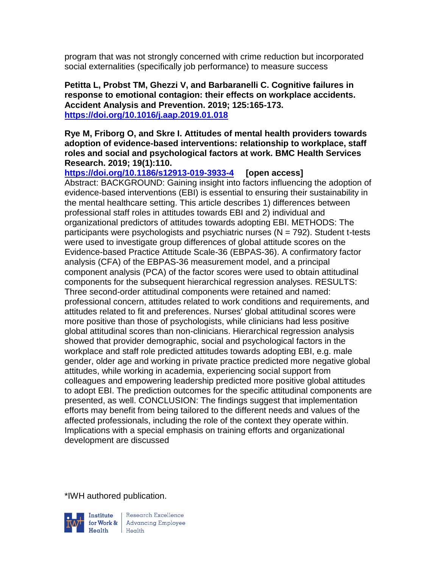program that was not strongly concerned with crime reduction but incorporated social externalities (specifically job performance) to measure success

**Petitta L, Probst TM, Ghezzi V, and Barbaranelli C. Cognitive failures in response to emotional contagion: their effects on workplace accidents. Accident Analysis and Prevention. 2019; 125:165-173. <https://doi.org/10.1016/j.aap.2019.01.018>** 

**Rye M, Friborg O, and Skre I. Attitudes of mental health providers towards adoption of evidence-based interventions: relationship to workplace, staff roles and social and psychological factors at work. BMC Health Services Research. 2019; 19(1):110.**

**<https://doi.org/10.1186/s12913-019-3933-4> [open access]** Abstract: BACKGROUND: Gaining insight into factors influencing the adoption of evidence-based interventions (EBI) is essential to ensuring their sustainability in the mental healthcare setting. This article describes 1) differences between professional staff roles in attitudes towards EBI and 2) individual and organizational predictors of attitudes towards adopting EBI. METHODS: The participants were psychologists and psychiatric nurses  $(N = 792)$ . Student t-tests were used to investigate group differences of global attitude scores on the Evidence-based Practice Attitude Scale-36 (EBPAS-36). A confirmatory factor analysis (CFA) of the EBPAS-36 measurement model, and a principal component analysis (PCA) of the factor scores were used to obtain attitudinal components for the subsequent hierarchical regression analyses. RESULTS: Three second-order attitudinal components were retained and named: professional concern, attitudes related to work conditions and requirements, and attitudes related to fit and preferences. Nurses' global attitudinal scores were more positive than those of psychologists, while clinicians had less positive global attitudinal scores than non-clinicians. Hierarchical regression analysis showed that provider demographic, social and psychological factors in the workplace and staff role predicted attitudes towards adopting EBI, e.g. male gender, older age and working in private practice predicted more negative global attitudes, while working in academia, experiencing social support from colleagues and empowering leadership predicted more positive global attitudes to adopt EBI. The prediction outcomes for the specific attitudinal components are presented, as well. CONCLUSION: The findings suggest that implementation efforts may benefit from being tailored to the different needs and values of the affected professionals, including the role of the context they operate within. Implications with a special emphasis on training efforts and organizational development are discussed

\*IWH authored publication.